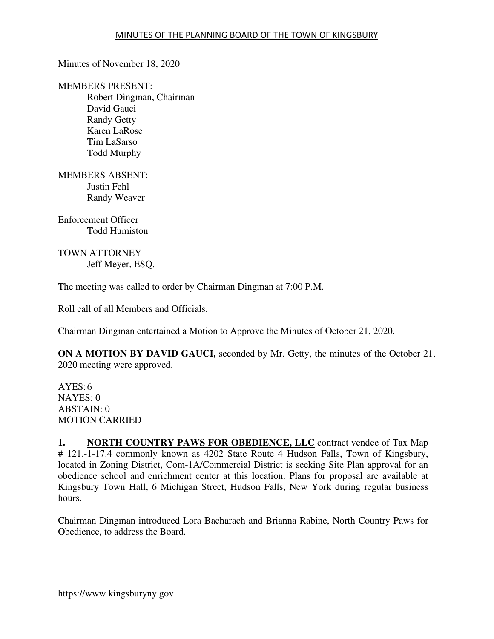Minutes of November 18, 2020

MEMBERS PRESENT: Robert Dingman, Chairman David Gauci Randy Getty Karen LaRose Tim LaSarso Todd Murphy

MEMBERS ABSENT: Justin Fehl Randy Weaver

Enforcement Officer Todd Humiston

TOWN ATTORNEY Jeff Meyer, ESQ.

The meeting was called to order by Chairman Dingman at 7:00 P.M.

Roll call of all Members and Officials.

Chairman Dingman entertained a Motion to Approve the Minutes of October 21, 2020.

**ON A MOTION BY DAVID GAUCI,** seconded by Mr. Getty, the minutes of the October 21, 2020 meeting were approved.

 $AYES:6$ NAYES: 0 ABSTAIN: 0 MOTION CARRIED

**1. NORTH COUNTRY PAWS FOR OBEDIENCE, LLC** contract vendee of Tax Map # 121.-1-17.4 commonly known as 4202 State Route 4 Hudson Falls, Town of Kingsbury, located in Zoning District, Com-1A/Commercial District is seeking Site Plan approval for an obedience school and enrichment center at this location. Plans for proposal are available at Kingsbury Town Hall, 6 Michigan Street, Hudson Falls, New York during regular business hours.

Chairman Dingman introduced Lora Bacharach and Brianna Rabine, North Country Paws for Obedience, to address the Board.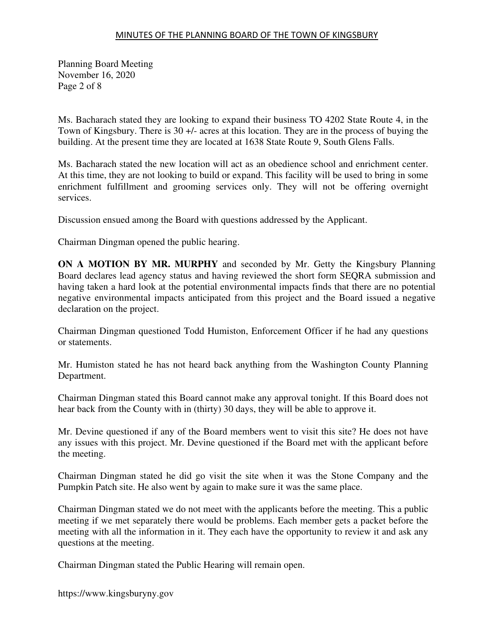Planning Board Meeting November 16, 2020 Page 2 of 8

Ms. Bacharach stated they are looking to expand their business TO 4202 State Route 4, in the Town of Kingsbury. There is 30 +/- acres at this location. They are in the process of buying the building. At the present time they are located at 1638 State Route 9, South Glens Falls.

Ms. Bacharach stated the new location will act as an obedience school and enrichment center. At this time, they are not looking to build or expand. This facility will be used to bring in some enrichment fulfillment and grooming services only. They will not be offering overnight services.

Discussion ensued among the Board with questions addressed by the Applicant.

Chairman Dingman opened the public hearing.

**ON A MOTION BY MR. MURPHY** and seconded by Mr. Getty the Kingsbury Planning Board declares lead agency status and having reviewed the short form SEQRA submission and having taken a hard look at the potential environmental impacts finds that there are no potential negative environmental impacts anticipated from this project and the Board issued a negative declaration on the project.

Chairman Dingman questioned Todd Humiston, Enforcement Officer if he had any questions or statements.

Mr. Humiston stated he has not heard back anything from the Washington County Planning Department.

Chairman Dingman stated this Board cannot make any approval tonight. If this Board does not hear back from the County with in (thirty) 30 days, they will be able to approve it.

Mr. Devine questioned if any of the Board members went to visit this site? He does not have any issues with this project. Mr. Devine questioned if the Board met with the applicant before the meeting.

Chairman Dingman stated he did go visit the site when it was the Stone Company and the Pumpkin Patch site. He also went by again to make sure it was the same place.

Chairman Dingman stated we do not meet with the applicants before the meeting. This a public meeting if we met separately there would be problems. Each member gets a packet before the meeting with all the information in it. They each have the opportunity to review it and ask any questions at the meeting.

Chairman Dingman stated the Public Hearing will remain open.

https://www.kingsburyny.gov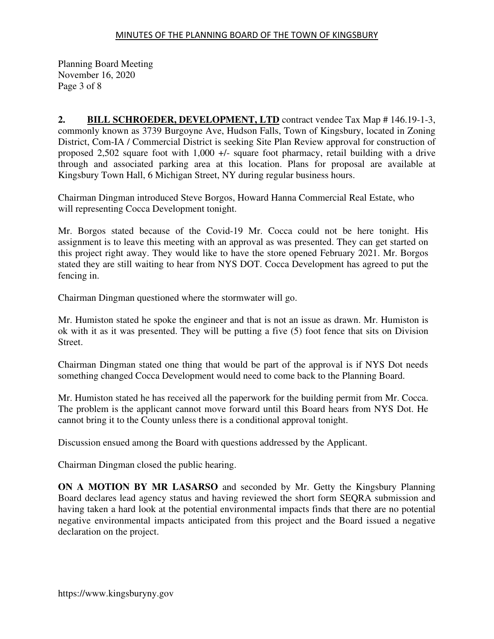Planning Board Meeting November 16, 2020 Page 3 of 8

**2. BILL SCHROEDER, DEVELOPMENT, LTD** contract vendee Tax Map # 146.19-1-3, commonly known as 3739 Burgoyne Ave, Hudson Falls, Town of Kingsbury, located in Zoning District, Com-IA / Commercial District is seeking Site Plan Review approval for construction of proposed 2,502 square foot with 1,000 +/- square foot pharmacy, retail building with a drive through and associated parking area at this location. Plans for proposal are available at Kingsbury Town Hall, 6 Michigan Street, NY during regular business hours.

Chairman Dingman introduced Steve Borgos, Howard Hanna Commercial Real Estate, who will representing Cocca Development tonight.

Mr. Borgos stated because of the Covid-19 Mr. Cocca could not be here tonight. His assignment is to leave this meeting with an approval as was presented. They can get started on this project right away. They would like to have the store opened February 2021. Mr. Borgos stated they are still waiting to hear from NYS DOT. Cocca Development has agreed to put the fencing in.

Chairman Dingman questioned where the stormwater will go.

Mr. Humiston stated he spoke the engineer and that is not an issue as drawn. Mr. Humiston is ok with it as it was presented. They will be putting a five (5) foot fence that sits on Division Street.

Chairman Dingman stated one thing that would be part of the approval is if NYS Dot needs something changed Cocca Development would need to come back to the Planning Board.

Mr. Humiston stated he has received all the paperwork for the building permit from Mr. Cocca. The problem is the applicant cannot move forward until this Board hears from NYS Dot. He cannot bring it to the County unless there is a conditional approval tonight.

Discussion ensued among the Board with questions addressed by the Applicant.

Chairman Dingman closed the public hearing.

**ON A MOTION BY MR LASARSO** and seconded by Mr. Getty the Kingsbury Planning Board declares lead agency status and having reviewed the short form SEQRA submission and having taken a hard look at the potential environmental impacts finds that there are no potential negative environmental impacts anticipated from this project and the Board issued a negative declaration on the project.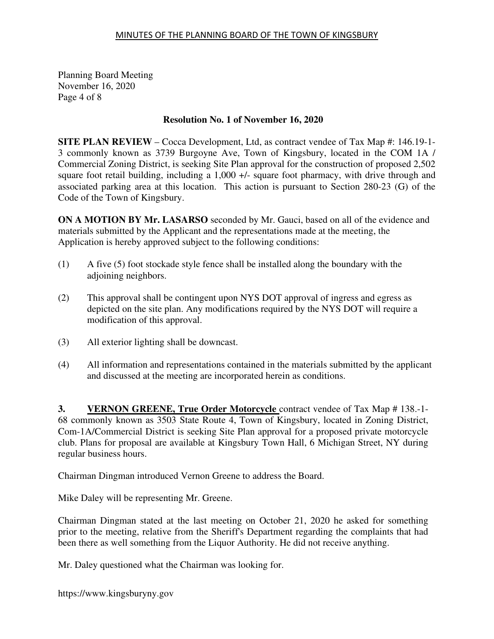Planning Board Meeting November 16, 2020 Page 4 of 8

# **Resolution No. 1 of November 16, 2020**

**SITE PLAN REVIEW** – Cocca Development, Ltd, as contract vendee of Tax Map #: 146.19-1- 3 commonly known as 3739 Burgoyne Ave, Town of Kingsbury, located in the COM 1A / Commercial Zoning District, is seeking Site Plan approval for the construction of proposed 2,502 square foot retail building, including a 1,000 +/- square foot pharmacy, with drive through and associated parking area at this location. This action is pursuant to Section 280-23 (G) of the Code of the Town of Kingsbury.

**ON A MOTION BY Mr. LASARSO** seconded by Mr. Gauci, based on all of the evidence and materials submitted by the Applicant and the representations made at the meeting, the Application is hereby approved subject to the following conditions:

- (1) A five (5) foot stockade style fence shall be installed along the boundary with the adjoining neighbors.
- (2) This approval shall be contingent upon NYS DOT approval of ingress and egress as depicted on the site plan. Any modifications required by the NYS DOT will require a modification of this approval.
- (3) All exterior lighting shall be downcast.
- (4) All information and representations contained in the materials submitted by the applicant and discussed at the meeting are incorporated herein as conditions.

**3. VERNON GREENE, True Order Motorcycle** contract vendee of Tax Map # 138.-1- 68 commonly known as 3503 State Route 4, Town of Kingsbury, located in Zoning District, Com-1A/Commercial District is seeking Site Plan approval for a proposed private motorcycle club. Plans for proposal are available at Kingsbury Town Hall, 6 Michigan Street, NY during regular business hours.

Chairman Dingman introduced Vernon Greene to address the Board.

Mike Daley will be representing Mr. Greene.

Chairman Dingman stated at the last meeting on October 21, 2020 he asked for something prior to the meeting, relative from the Sheriff's Department regarding the complaints that had been there as well something from the Liquor Authority. He did not receive anything.

Mr. Daley questioned what the Chairman was looking for.

https://www.kingsburyny.gov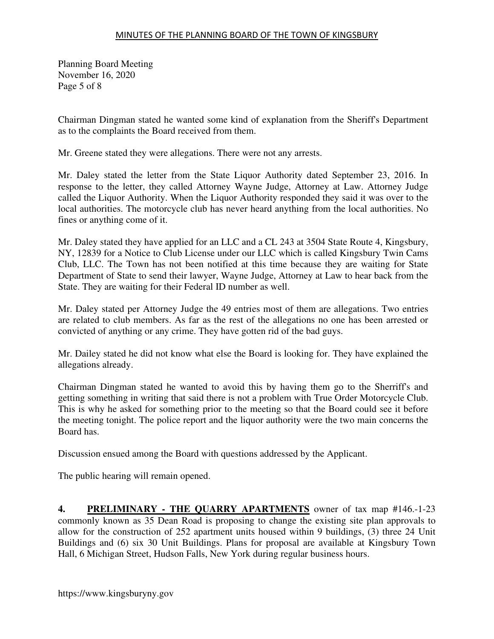Planning Board Meeting November 16, 2020 Page 5 of 8

Chairman Dingman stated he wanted some kind of explanation from the Sheriff's Department as to the complaints the Board received from them.

Mr. Greene stated they were allegations. There were not any arrests.

Mr. Daley stated the letter from the State Liquor Authority dated September 23, 2016. In response to the letter, they called Attorney Wayne Judge, Attorney at Law. Attorney Judge called the Liquor Authority. When the Liquor Authority responded they said it was over to the local authorities. The motorcycle club has never heard anything from the local authorities. No fines or anything come of it.

Mr. Daley stated they have applied for an LLC and a CL 243 at 3504 State Route 4, Kingsbury, NY, 12839 for a Notice to Club License under our LLC which is called Kingsbury Twin Cams Club, LLC. The Town has not been notified at this time because they are waiting for State Department of State to send their lawyer, Wayne Judge, Attorney at Law to hear back from the State. They are waiting for their Federal ID number as well.

Mr. Daley stated per Attorney Judge the 49 entries most of them are allegations. Two entries are related to club members. As far as the rest of the allegations no one has been arrested or convicted of anything or any crime. They have gotten rid of the bad guys.

Mr. Dailey stated he did not know what else the Board is looking for. They have explained the allegations already.

Chairman Dingman stated he wanted to avoid this by having them go to the Sherriff's and getting something in writing that said there is not a problem with True Order Motorcycle Club. This is why he asked for something prior to the meeting so that the Board could see it before the meeting tonight. The police report and the liquor authority were the two main concerns the Board has.

Discussion ensued among the Board with questions addressed by the Applicant.

The public hearing will remain opened.

**4. PRELIMINARY - THE QUARRY APARTMENTS** owner of tax map #146.-1-23 commonly known as 35 Dean Road is proposing to change the existing site plan approvals to allow for the construction of 252 apartment units housed within 9 buildings, (3) three 24 Unit Buildings and (6) six 30 Unit Buildings. Plans for proposal are available at Kingsbury Town Hall, 6 Michigan Street, Hudson Falls, New York during regular business hours.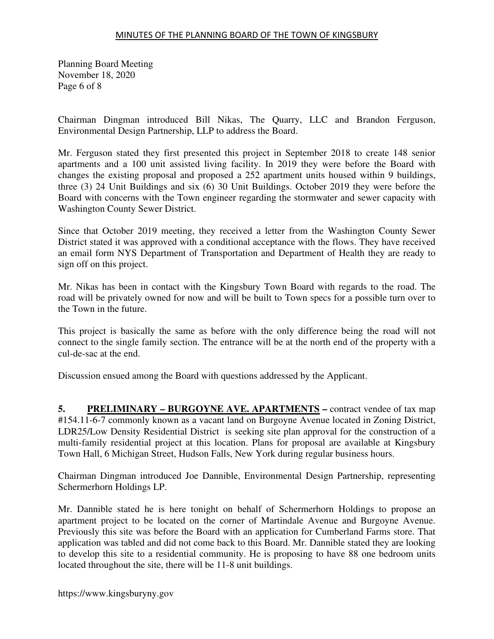Planning Board Meeting November 18, 2020 Page 6 of 8

Chairman Dingman introduced Bill Nikas, The Quarry, LLC and Brandon Ferguson, Environmental Design Partnership, LLP to address the Board.

Mr. Ferguson stated they first presented this project in September 2018 to create 148 senior apartments and a 100 unit assisted living facility. In 2019 they were before the Board with changes the existing proposal and proposed a 252 apartment units housed within 9 buildings, three (3) 24 Unit Buildings and six (6) 30 Unit Buildings. October 2019 they were before the Board with concerns with the Town engineer regarding the stormwater and sewer capacity with Washington County Sewer District.

Since that October 2019 meeting, they received a letter from the Washington County Sewer District stated it was approved with a conditional acceptance with the flows. They have received an email form NYS Department of Transportation and Department of Health they are ready to sign off on this project.

Mr. Nikas has been in contact with the Kingsbury Town Board with regards to the road. The road will be privately owned for now and will be built to Town specs for a possible turn over to the Town in the future.

This project is basically the same as before with the only difference being the road will not connect to the single family section. The entrance will be at the north end of the property with a cul-de-sac at the end.

Discussion ensued among the Board with questions addressed by the Applicant.

**5. PRELIMINARY – BURGOYNE AVE. APARTMENTS – contract vendee of tax map** #154.11-6-7 commonly known as a vacant land on Burgoyne Avenue located in Zoning District, LDR25/Low Density Residential District is seeking site plan approval for the construction of a multi-family residential project at this location. Plans for proposal are available at Kingsbury Town Hall, 6 Michigan Street, Hudson Falls, New York during regular business hours.

Chairman Dingman introduced Joe Dannible, Environmental Design Partnership, representing Schermerhorn Holdings LP.

Mr. Dannible stated he is here tonight on behalf of Schermerhorn Holdings to propose an apartment project to be located on the corner of Martindale Avenue and Burgoyne Avenue. Previously this site was before the Board with an application for Cumberland Farms store. That application was tabled and did not come back to this Board. Mr. Dannible stated they are looking to develop this site to a residential community. He is proposing to have 88 one bedroom units located throughout the site, there will be 11-8 unit buildings.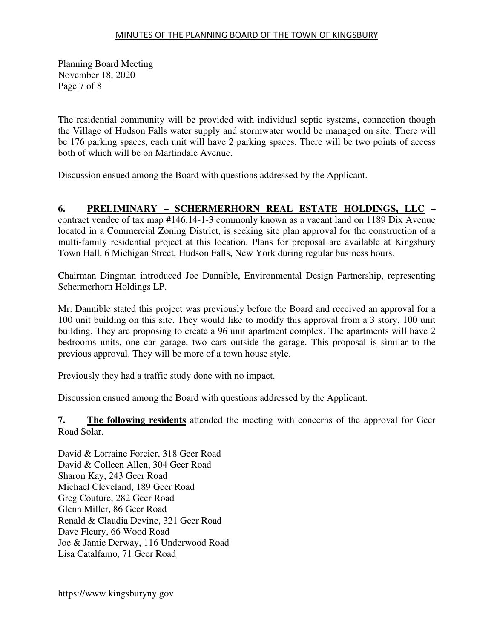Planning Board Meeting November 18, 2020 Page 7 of 8

The residential community will be provided with individual septic systems, connection though the Village of Hudson Falls water supply and stormwater would be managed on site. There will be 176 parking spaces, each unit will have 2 parking spaces. There will be two points of access both of which will be on Martindale Avenue.

Discussion ensued among the Board with questions addressed by the Applicant.

# **6. PRELIMINARY – SCHERMERHORN REAL ESTATE HOLDINGS, LLC –**

contract vendee of tax map #146.14-1-3 commonly known as a vacant land on 1189 Dix Avenue located in a Commercial Zoning District, is seeking site plan approval for the construction of a multi-family residential project at this location. Plans for proposal are available at Kingsbury Town Hall, 6 Michigan Street, Hudson Falls, New York during regular business hours.

Chairman Dingman introduced Joe Dannible, Environmental Design Partnership, representing Schermerhorn Holdings LP.

Mr. Dannible stated this project was previously before the Board and received an approval for a 100 unit building on this site. They would like to modify this approval from a 3 story, 100 unit building. They are proposing to create a 96 unit apartment complex. The apartments will have 2 bedrooms units, one car garage, two cars outside the garage. This proposal is similar to the previous approval. They will be more of a town house style.

Previously they had a traffic study done with no impact.

Discussion ensued among the Board with questions addressed by the Applicant.

**7. The following residents** attended the meeting with concerns of the approval for Geer Road Solar.

David & Lorraine Forcier, 318 Geer Road David & Colleen Allen, 304 Geer Road Sharon Kay, 243 Geer Road Michael Cleveland, 189 Geer Road Greg Couture, 282 Geer Road Glenn Miller, 86 Geer Road Renald & Claudia Devine, 321 Geer Road Dave Fleury, 66 Wood Road Joe & Jamie Derway, 116 Underwood Road Lisa Catalfamo, 71 Geer Road